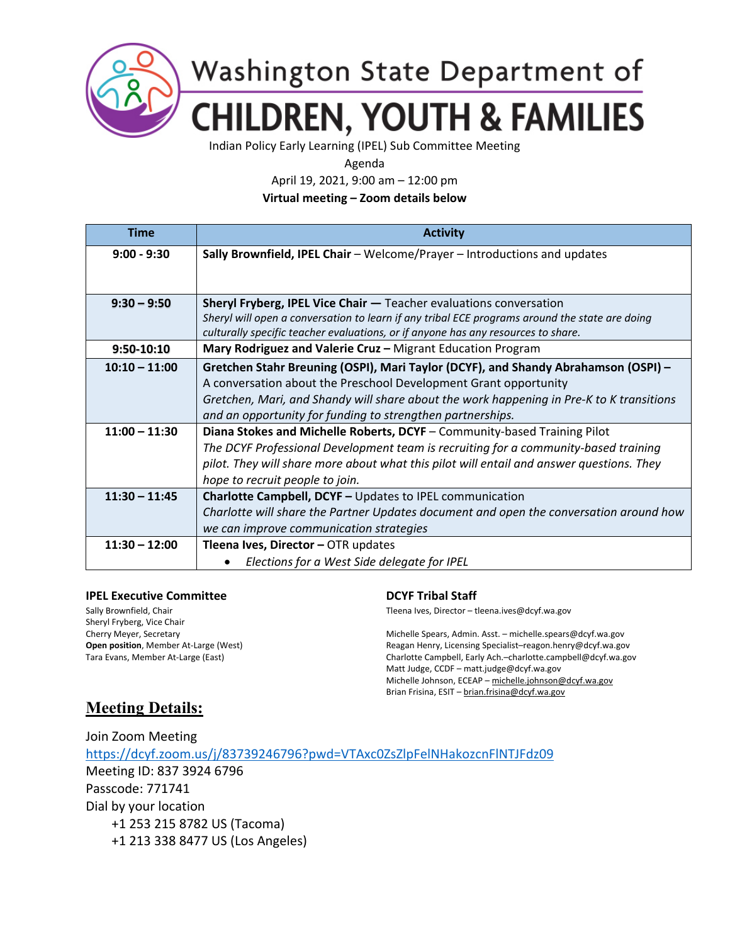

## Washington State Department of **CHILDREN, YOUTH & FAMILIES**

Indian Policy Early Learning (IPEL) Sub Committee Meeting

Agenda

April 19, 2021, 9:00 am – 12:00 pm

**Virtual meeting – Zoom details below**

| <b>Time</b>     | <b>Activity</b>                                                                                |
|-----------------|------------------------------------------------------------------------------------------------|
| $9:00 - 9:30$   | Sally Brownfield, IPEL Chair - Welcome/Prayer - Introductions and updates                      |
|                 |                                                                                                |
|                 |                                                                                                |
| $9:30 - 9:50$   | Sheryl Fryberg, IPEL Vice Chair - Teacher evaluations conversation                             |
|                 | Sheryl will open a conversation to learn if any tribal ECE programs around the state are doing |
|                 | culturally specific teacher evaluations, or if anyone has any resources to share.              |
| 9:50-10:10      | Mary Rodriguez and Valerie Cruz - Migrant Education Program                                    |
| $10:10 - 11:00$ | Gretchen Stahr Breuning (OSPI), Mari Taylor (DCYF), and Shandy Abrahamson (OSPI) -             |
|                 | A conversation about the Preschool Development Grant opportunity                               |
|                 | Gretchen, Mari, and Shandy will share about the work happening in Pre-K to K transitions       |
|                 | and an opportunity for funding to strengthen partnerships.                                     |
| $11:00 - 11:30$ | Diana Stokes and Michelle Roberts, DCYF - Community-based Training Pilot                       |
|                 | The DCYF Professional Development team is recruiting for a community-based training            |
|                 | pilot. They will share more about what this pilot will entail and answer questions. They       |
|                 | hope to recruit people to join.                                                                |
| $11:30 - 11:45$ | <b>Charlotte Campbell, DCYF - Updates to IPEL communication</b>                                |
|                 | Charlotte will share the Partner Updates document and open the conversation around how         |
|                 | we can improve communication strategies                                                        |
| $11:30 - 12:00$ | Tleena Ives, Director - OTR updates                                                            |
|                 | Elections for a West Side delegate for IPEL                                                    |

### **IPEL Executive Committee Committee Committee Committee Committee Committee Committee Committee Committee Committee Committee Committee Committee Committee Committee Committee Committee Committee Committee Committee Commit**

Sheryl Fryberg, Vice Chair

Sally Brownfield, Chair Theory of Theory of Theory Theena Ives, Director – tleena.ives@dcyf.wa.gov

Cherry Meyer, Secretary Michelle Spears, Admin. Asst. – michelle.spears@dcyf.wa.gov **Open position**, Member At-Large (West) Reagan Henry, Licensing Specialist–reagon.henry@dcyf.wa.gov Tara Evans, Member At-Large (East) Charlotte Campbell, Early Ach.–charlotte.campbell@dcyf.wa.gov Matt Judge, CCDF – matt.judge@dcyf.wa.gov Michelle Johnson, ECEAP – [michelle.johnson@dcyf.wa.gov](mailto:michelle.johnson@dcyf.wa.gov) Brian Frisina, ESIT – [brian.frisina@dcyf.wa.gov](mailto:brian.frisina@dcyf.wa.gov)

## **Meeting Details:**

Join Zoom Meeting <https://dcyf.zoom.us/j/83739246796?pwd=VTAxc0ZsZlpFelNHakozcnFlNTJFdz09> Meeting ID: 837 3924 6796 Passcode: 771741 Dial by your location +1 253 215 8782 US (Tacoma) +1 213 338 8477 US (Los Angeles)